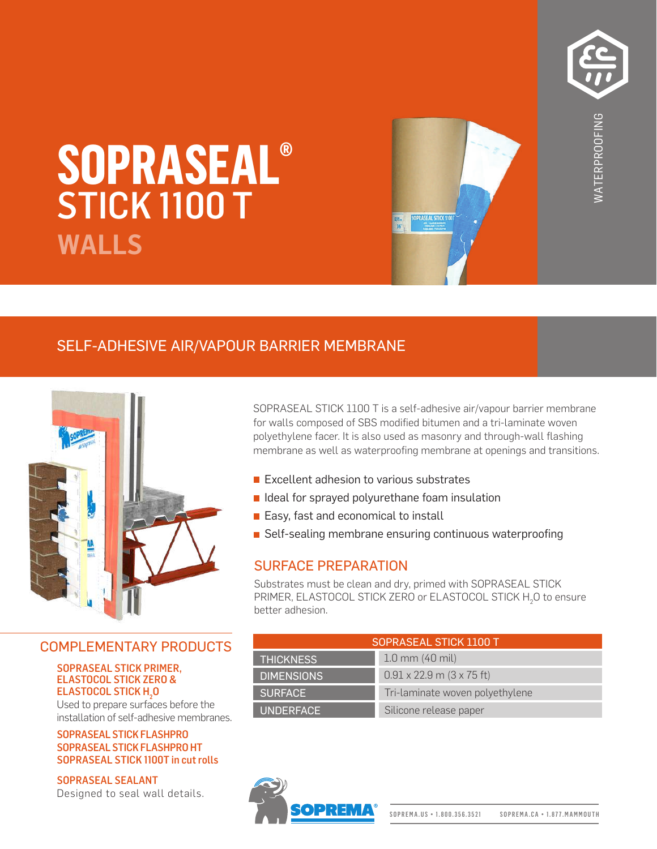

# **SOPRASEAL® WALLS** STICK 1100 T

# **EXECUTE AS WATER MEMBRANE**<br> **EXECUTE:**<br> **EXECUTE AS WATER MEMBRANE**<br>
SOPRASEAL STICK 1100 T is a self-adhesive air/vapour barrier membrane<br>
for walls composed of SBS modified bitumen and a tri-laminate woven<br>
membrane as

# SELF-ADHESIVE AIR/VAPOUR BARRIER MEMBRANE



# COMPLEMENTARY PRODUCTS

### **SOPRASEAL STICK PRIMER,** ELASTOCOL STICK ZERO & ELASTOCOL STICK H<sub>2</sub>0

Used to prepare surfaces before the installation of self-adhesive membranes.

### SOPRASEAL STICK FLASHPRO SOPRASEAL STICK FLASHPRO HT SOPRASEAL STICK 1100T in cut rolls

SOPRASEAL SEALANT Designed to seal wall details. SOPRASEAL STICK 1100 T is a self-adhesive air/vapour barrier membrane for walls composed of SBS modified bitumen and a tri-laminate woven polyethylene facer. It is also used as masonry and through-wall flashing

- **Excellent adhesion to various substrates**
- I Ideal for sprayed polyurethane foam insulation
- Easy, fast and economical to install
- Self-sealing membrane ensuring continuous waterproofing

# SURFACE PREPARATION

Substrates must be clean and dry, primed with SOPRASEAL STICK PRIMER, ELASTOCOL STICK ZERO or ELASTOCOL STICK H<sub>2</sub>O to ensure better adhesion.

| SOPRASEAL STICK 1100 T |                                  |
|------------------------|----------------------------------|
| <b>THICKNESS</b>       | $1.0$ mm (40 mil)                |
| <b>DIMENSIONS</b>      | $0.91 \times 22.9$ m (3 x 75 ft) |
| <b>SURFACE</b>         | Tri-laminate woven polyethylene  |
| <b>UNDERFACE</b>       | Silicone release paper           |